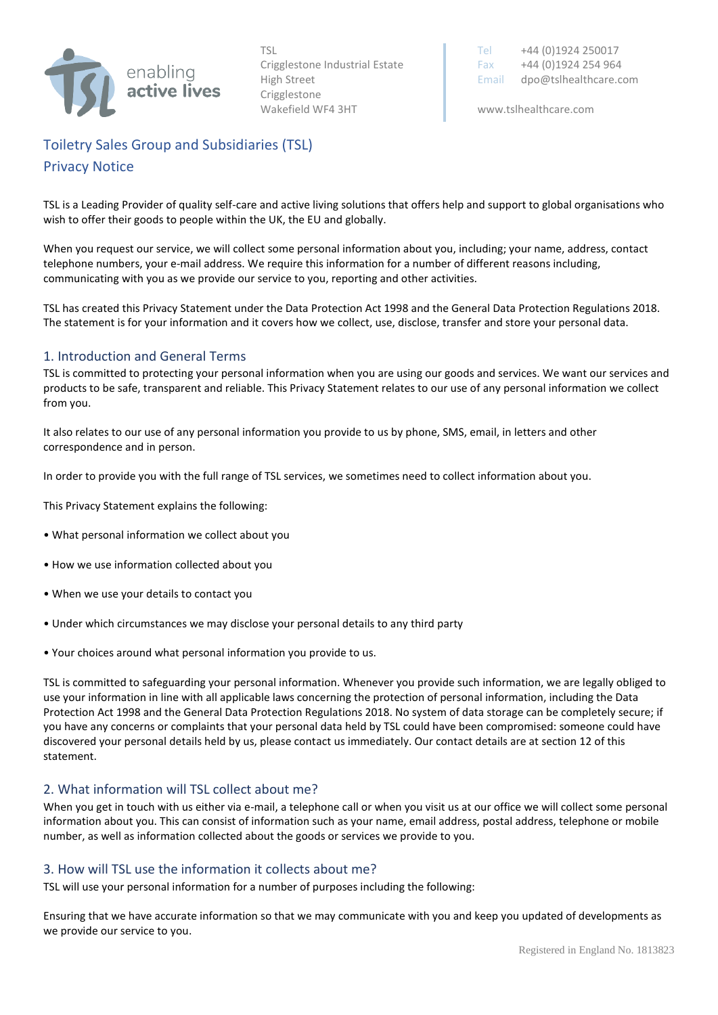

Crigglestone Wakefield WF4 3HT www.tslhealthcare.com

TSL Tel +44 (0)1924 250017 Crigglestone Industrial Estate Fax  $+44 (0)1924 254 964$ High Street **Email dpo@tslhealthcare.com** 

# Toiletry Sales Group and Subsidiaries (TSL) Privacy Notice

TSL is a Leading Provider of quality self-care and active living solutions that offers help and support to global organisations who wish to offer their goods to people within the UK, the EU and globally.

When you request our service, we will collect some personal information about you, including; your name, address, contact telephone numbers, your e-mail address. We require this information for a number of different reasons including, communicating with you as we provide our service to you, reporting and other activities.

TSL has created this Privacy Statement under the Data Protection Act 1998 and the General Data Protection Regulations 2018. The statement is for your information and it covers how we collect, use, disclose, transfer and store your personal data.

## 1. Introduction and General Terms

TSL is committed to protecting your personal information when you are using our goods and services. We want our services and products to be safe, transparent and reliable. This Privacy Statement relates to our use of any personal information we collect from you.

It also relates to our use of any personal information you provide to us by phone, SMS, email, in letters and other correspondence and in person.

In order to provide you with the full range of TSL services, we sometimes need to collect information about you.

This Privacy Statement explains the following:

- What personal information we collect about you
- How we use information collected about you
- When we use your details to contact you
- Under which circumstances we may disclose your personal details to any third party
- Your choices around what personal information you provide to us.

TSL is committed to safeguarding your personal information. Whenever you provide such information, we are legally obliged to use your information in line with all applicable laws concerning the protection of personal information, including the Data Protection Act 1998 and the General Data Protection Regulations 2018. No system of data storage can be completely secure; if you have any concerns or complaints that your personal data held by TSL could have been compromised: someone could have discovered your personal details held by us, please contact us immediately. Our contact details are at section 12 of this statement.

#### 2. What information will TSL collect about me?

When you get in touch with us either via e-mail, a telephone call or when you visit us at our office we will collect some personal information about you. This can consist of information such as your name, email address, postal address, telephone or mobile number, as well as information collected about the goods or services we provide to you.

#### 3. How will TSL use the information it collects about me?

TSL will use your personal information for a number of purposes including the following:

Ensuring that we have accurate information so that we may communicate with you and keep you updated of developments as we provide our service to you.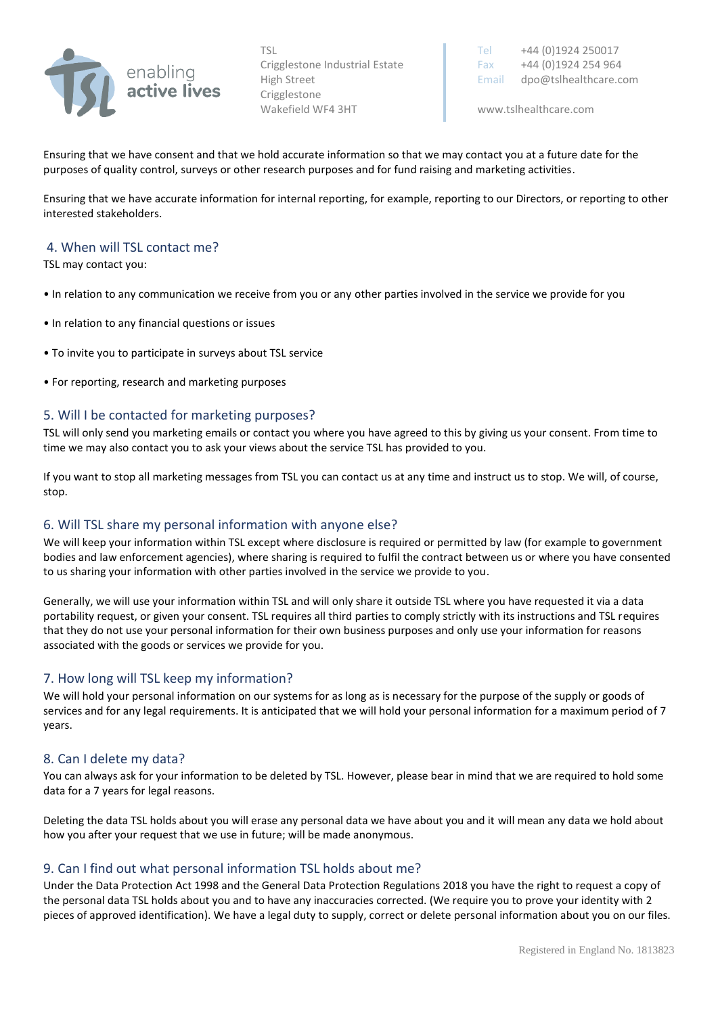

Crigglestone Wakefield WF4 3HT www.tslhealthcare.com

TSL Tel +44 (0)1924 250017 Crigglestone Industrial Estate Fax  $+44 (0)1924 254 964$ High Street **Email dpo@tslhealthcare.com** 

Ensuring that we have consent and that we hold accurate information so that we may contact you at a future date for the purposes of quality control, surveys or other research purposes and for fund raising and marketing activities.

Ensuring that we have accurate information for internal reporting, for example, reporting to our Directors, or reporting to other interested stakeholders.

### 4. When will TSL contact me?

TSL may contact you:

- In relation to any communication we receive from you or any other parties involved in the service we provide for you
- In relation to any financial questions or issues
- To invite you to participate in surveys about TSL service
- For reporting, research and marketing purposes

#### 5. Will I be contacted for marketing purposes?

TSL will only send you marketing emails or contact you where you have agreed to this by giving us your consent. From time to time we may also contact you to ask your views about the service TSL has provided to you.

If you want to stop all marketing messages from TSL you can contact us at any time and instruct us to stop. We will, of course, stop.

#### 6. Will TSL share my personal information with anyone else?

We will keep your information within TSL except where disclosure is required or permitted by law (for example to government bodies and law enforcement agencies), where sharing is required to fulfil the contract between us or where you have consented to us sharing your information with other parties involved in the service we provide to you.

Generally, we will use your information within TSL and will only share it outside TSL where you have requested it via a data portability request, or given your consent. TSL requires all third parties to comply strictly with its instructions and TSL requires that they do not use your personal information for their own business purposes and only use your information for reasons associated with the goods or services we provide for you.

#### 7. How long will TSL keep my information?

We will hold your personal information on our systems for as long as is necessary for the purpose of the supply or goods of services and for any legal requirements. It is anticipated that we will hold your personal information for a maximum period of 7 years.

#### 8. Can I delete my data?

You can always ask for your information to be deleted by TSL. However, please bear in mind that we are required to hold some data for a 7 years for legal reasons.

Deleting the data TSL holds about you will erase any personal data we have about you and it will mean any data we hold about how you after your request that we use in future; will be made anonymous.

#### 9. Can I find out what personal information TSL holds about me?

Under the Data Protection Act 1998 and the General Data Protection Regulations 2018 you have the right to request a copy of the personal data TSL holds about you and to have any inaccuracies corrected. (We require you to prove your identity with 2 pieces of approved identification). We have a legal duty to supply, correct or delete personal information about you on our files.